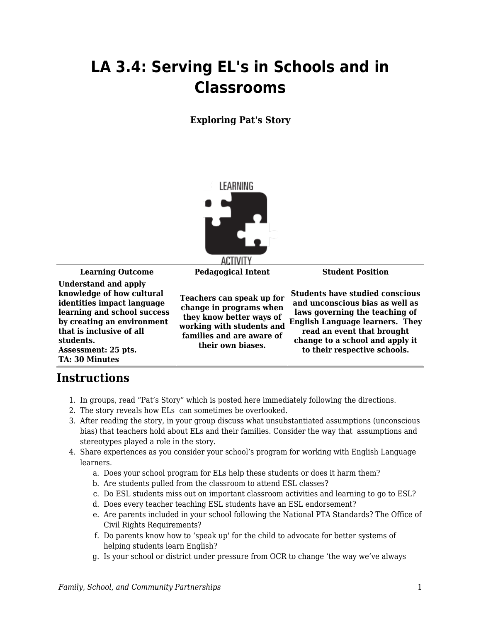## **LA 3.4: Serving EL's in Schools and in Classrooms**

## **Exploring Pat's Story**



**Learning Outcome Pedagogical Intent Student Position**

**Understand and apply knowledge of how cultural identities impact language learning and school success by creating an environment that is inclusive of all students. Assessment: 25 pts. TA: 30 Minutes**

**Teachers can speak up for change in programs when they know better ways of working with students and families and are aware of their own biases.**

**Students have studied conscious and unconscious bias as well as laws governing the teaching of English Language learners. They read an event that brought change to a school and apply it to their respective schools.**

## **Instructions**

- 1. In groups, read "Pat's Story" which is posted here immediately following the directions.
- 2. The story reveals how ELs can sometimes be overlooked.
- 3. After reading the story, in your group discuss what unsubstantiated assumptions (unconscious bias) that teachers hold about ELs and their families. Consider the way that assumptions and stereotypes played a role in the story.
- 4. Share experiences as you consider your school's program for working with English Language learners.
	- a. Does your school program for ELs help these students or does it harm them?
	- b. Are students pulled from the classroom to attend ESL classes?
	- c. Do ESL students miss out on important classroom activities and learning to go to ESL?
	- d. Does every teacher teaching ESL students have an ESL endorsement?
	- e. Are parents included in your school following the National PTA Standards? The Office of Civil Rights Requirements?
	- f. Do parents know how to 'speak up' for the child to advocate for better systems of helping students learn English?
	- g. Is your school or district under pressure from OCR to change 'the way we've always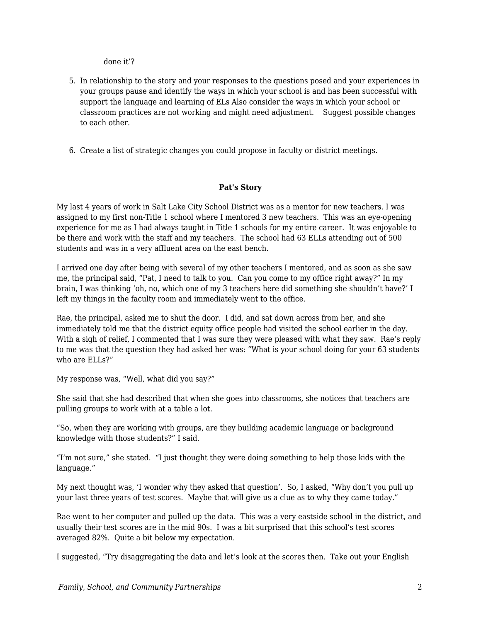done it'?

- 5. In relationship to the story and your responses to the questions posed and your experiences in your groups pause and identify the ways in which your school is and has been successful with support the language and learning of ELs Also consider the ways in which your school or classroom practices are not working and might need adjustment. Suggest possible changes to each other.
- 6. Create a list of strategic changes you could propose in faculty or district meetings.

## **Pat's Story**

My last 4 years of work in Salt Lake City School District was as a mentor for new teachers. I was assigned to my first non-Title 1 school where I mentored 3 new teachers. This was an eye-opening experience for me as I had always taught in Title 1 schools for my entire career. It was enjoyable to be there and work with the staff and my teachers. The school had 63 ELLs attending out of 500 students and was in a very affluent area on the east bench.

I arrived one day after being with several of my other teachers I mentored, and as soon as she saw me, the principal said, "Pat, I need to talk to you. Can you come to my office right away?" In my brain, I was thinking 'oh, no, which one of my 3 teachers here did something she shouldn't have?' I left my things in the faculty room and immediately went to the office.

Rae, the principal, asked me to shut the door. I did, and sat down across from her, and she immediately told me that the district equity office people had visited the school earlier in the day. With a sigh of relief, I commented that I was sure they were pleased with what they saw. Rae's reply to me was that the question they had asked her was: "What is your school doing for your 63 students who are ELLs?"

My response was, "Well, what did you say?"

She said that she had described that when she goes into classrooms, she notices that teachers are pulling groups to work with at a table a lot.

"So, when they are working with groups, are they building academic language or background knowledge with those students?" I said.

"I'm not sure," she stated. "I just thought they were doing something to help those kids with the language."

My next thought was, 'I wonder why they asked that question'. So, I asked, "Why don't you pull up your last three years of test scores. Maybe that will give us a clue as to why they came today."

Rae went to her computer and pulled up the data. This was a very eastside school in the district, and usually their test scores are in the mid 90s. I was a bit surprised that this school's test scores averaged 82%. Quite a bit below my expectation.

I suggested, "Try disaggregating the data and let's look at the scores then. Take out your English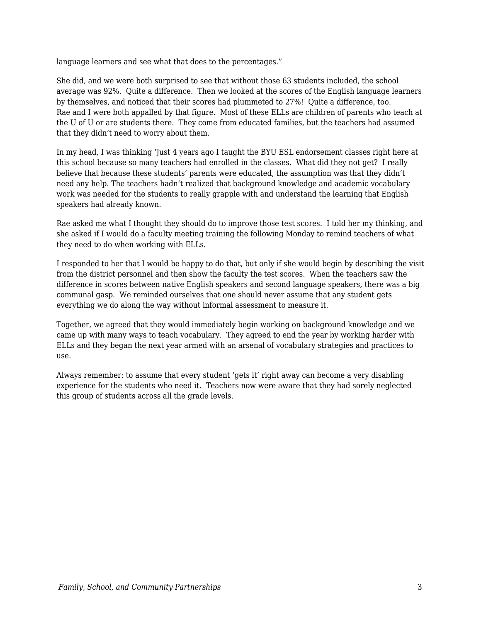language learners and see what that does to the percentages."

She did, and we were both surprised to see that without those 63 students included, the school average was 92%. Quite a difference. Then we looked at the scores of the English language learners by themselves, and noticed that their scores had plummeted to 27%! Quite a difference, too. Rae and I were both appalled by that figure. Most of these ELLs are children of parents who teach at the U of U or are students there. They come from educated families, but the teachers had assumed that they didn't need to worry about them.

In my head, I was thinking 'Just 4 years ago I taught the BYU ESL endorsement classes right here at this school because so many teachers had enrolled in the classes. What did they not get? I really believe that because these students' parents were educated, the assumption was that they didn't need any help. The teachers hadn't realized that background knowledge and academic vocabulary work was needed for the students to really grapple with and understand the learning that English speakers had already known.

Rae asked me what I thought they should do to improve those test scores. I told her my thinking, and she asked if I would do a faculty meeting training the following Monday to remind teachers of what they need to do when working with ELLs.

I responded to her that I would be happy to do that, but only if she would begin by describing the visit from the district personnel and then show the faculty the test scores. When the teachers saw the difference in scores between native English speakers and second language speakers, there was a big communal gasp. We reminded ourselves that one should never assume that any student gets everything we do along the way without informal assessment to measure it.

Together, we agreed that they would immediately begin working on background knowledge and we came up with many ways to teach vocabulary. They agreed to end the year by working harder with ELLs and they began the next year armed with an arsenal of vocabulary strategies and practices to use.

Always remember: to assume that every student 'gets it' right away can become a very disabling experience for the students who need it. Teachers now were aware that they had sorely neglected this group of students across all the grade levels.